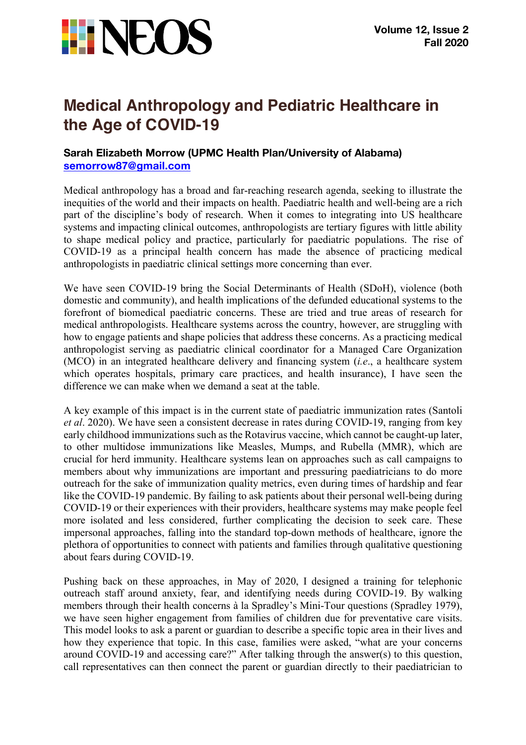

## **Medical Anthropology and Pediatric Healthcare in the Age of COVID-19**

## **Sarah Elizabeth Morrow (UPMC Health Plan/University of Alabama) semorrow87@gmail.com**

Medical anthropology has a broad and far-reaching research agenda, seeking to illustrate the inequities of the world and their impacts on health. Paediatric health and well-being are a rich part of the discipline's body of research. When it comes to integrating into US healthcare systems and impacting clinical outcomes, anthropologists are tertiary figures with little ability to shape medical policy and practice, particularly for paediatric populations. The rise of COVID-19 as a principal health concern has made the absence of practicing medical anthropologists in paediatric clinical settings more concerning than ever.

We have seen COVID-19 bring the Social Determinants of Health (SDoH), violence (both domestic and community), and health implications of the defunded educational systems to the forefront of biomedical paediatric concerns. These are tried and true areas of research for medical anthropologists. Healthcare systems across the country, however, are struggling with how to engage patients and shape policies that address these concerns. As a practicing medical anthropologist serving as paediatric clinical coordinator for a Managed Care Organization (MCO) in an integrated healthcare delivery and financing system (*i.e*., a healthcare system which operates hospitals, primary care practices, and health insurance), I have seen the difference we can make when we demand a seat at the table.

A key example of this impact is in the current state of paediatric immunization rates (Santoli *et al*. 2020). We have seen a consistent decrease in rates during COVID-19, ranging from key early childhood immunizations such as the Rotavirus vaccine, which cannot be caught-up later, to other multidose immunizations like Measles, Mumps, and Rubella (MMR), which are crucial for herd immunity. Healthcare systems lean on approaches such as call campaigns to members about why immunizations are important and pressuring paediatricians to do more outreach for the sake of immunization quality metrics, even during times of hardship and fear like the COVID-19 pandemic. By failing to ask patients about their personal well-being during COVID-19 or their experiences with their providers, healthcare systems may make people feel more isolated and less considered, further complicating the decision to seek care. These impersonal approaches, falling into the standard top-down methods of healthcare, ignore the plethora of opportunities to connect with patients and families through qualitative questioning about fears during COVID-19.

Pushing back on these approaches, in May of 2020, I designed a training for telephonic outreach staff around anxiety, fear, and identifying needs during COVID-19. By walking members through their health concerns à la Spradley's Mini-Tour questions (Spradley 1979), we have seen higher engagement from families of children due for preventative care visits. This model looks to ask a parent or guardian to describe a specific topic area in their lives and how they experience that topic. In this case, families were asked, "what are your concerns around COVID-19 and accessing care?" After talking through the answer(s) to this question, call representatives can then connect the parent or guardian directly to their paediatrician to